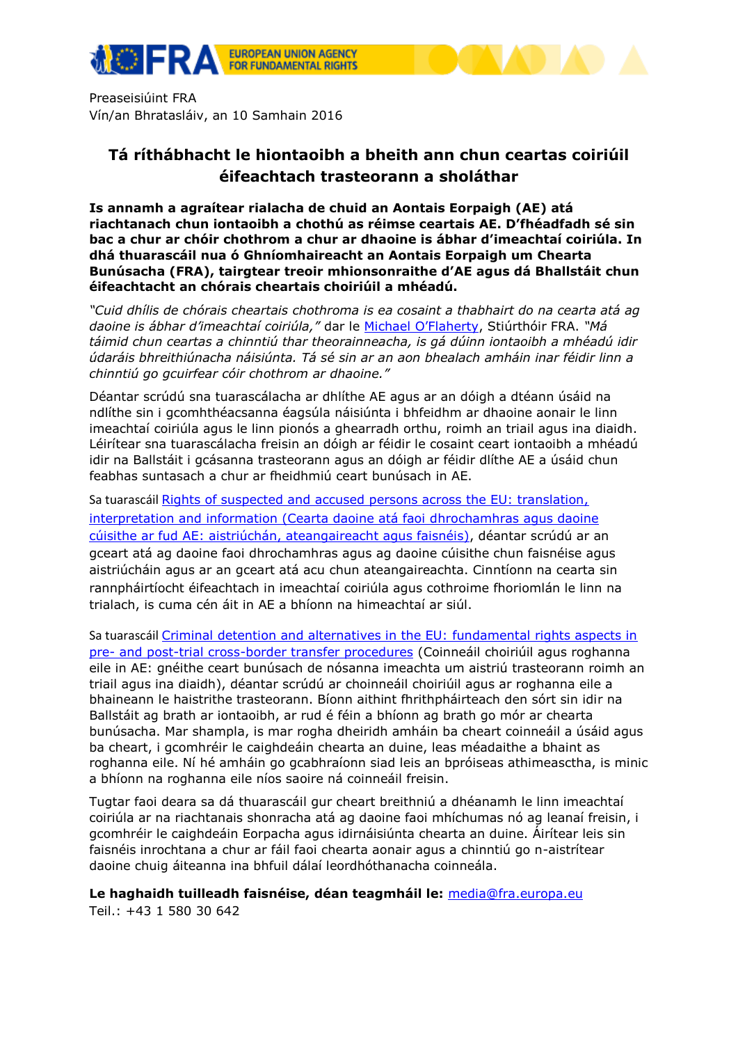

Preaseisiúint FRA Vín/an Bhratasláiv, an 10 Samhain 2016

## **Tá ríthábhacht le hiontaoibh a bheith ann chun ceartas coiriúil éifeachtach trasteorann a sholáthar**

**Is annamh a agraítear rialacha de chuid an Aontais Eorpaigh (AE) atá riachtanach chun iontaoibh a chothú as réimse ceartais AE. D'fhéadfadh sé sin bac a chur ar chóir chothrom a chur ar dhaoine is ábhar d'imeachtaí coiriúla. In dhá thuarascáil nua ó Ghníomhaireacht an Aontais Eorpaigh um Chearta Bunúsacha (FRA), tairgtear treoir mhionsonraithe d'AE agus dá Bhallstáit chun éifeachtacht an chórais cheartais choiriúil a mhéadú.**

*"Cuid dhílis de chórais cheartais chothroma is ea cosaint a thabhairt do na cearta atá ag daoine is ábhar d'imeachtaí coiriúla,"* dar le [Michael O'Flaherty](http://fra.europa.eu/en/about-fra/structure/director), Stiúrthóir FRA. *"Má táimid chun ceartas a chinntiú thar theorainneacha, is gá dúinn iontaoibh a mhéadú idir údaráis bhreithiúnacha náisiúnta. Tá sé sin ar an aon bhealach amháin inar féidir linn a chinntiú go gcuirfear cóir chothrom ar dhaoine."*

Déantar scrúdú sna tuarascálacha ar dhlíthe AE agus ar an dóigh a dtéann úsáid na ndlíthe sin i gcomhthéacsanna éagsúla náisiúnta i bhfeidhm ar dhaoine aonair le linn imeachtaí coiriúla agus le linn pionós a ghearradh orthu, roimh an triail agus ina diaidh. Léirítear sna tuarascálacha freisin an dóigh ar féidir le cosaint ceart iontaoibh a mhéadú idir na Ballstáit i gcásanna trasteorann agus an dóigh ar féidir dlíthe AE a úsáid chun feabhas suntasach a chur ar fheidhmiú ceart bunúsach in AE.

Sa tuarascáil Rights of suspected and accused persons across the EU: translation, [interpretation and information \(Cearta daoine atá faoi dhrochamhras agus daoine](http://fra.europa.eu/en/publication/2016/information-translation-criminal-justice)  [cúisithe ar fud AE: aistriúchán, ateangaireacht agus faisnéis\),](http://fra.europa.eu/en/publication/2016/information-translation-criminal-justice) déantar scrúdú ar an gceart atá ag daoine faoi dhrochamhras agus ag daoine cúisithe chun faisnéise agus aistriúcháin agus ar an gceart atá acu chun ateangaireachta. Cinntíonn na cearta sin rannpháirtíocht éifeachtach in imeachtaí coiriúla agus cothroime fhoriomlán le linn na trialach, is cuma cén áit in AE a bhíonn na himeachtaí ar siúl.

Sa tuarascáil [Criminal detention and alternatives in the EU: fundamental rights aspects in](http://fra.europa.eu/en/publication/2016/prisoners-alternatives-detention)  pre- [and post-trial cross-border transfer procedures](http://fra.europa.eu/en/publication/2016/prisoners-alternatives-detention) (Coinneáil choiriúil agus roghanna eile in AE: gnéithe ceart bunúsach de nósanna imeachta um aistriú trasteorann roimh an triail agus ina diaidh), déantar scrúdú ar choinneáil choiriúil agus ar roghanna eile a bhaineann le haistrithe trasteorann. Bíonn aithint fhrithpháirteach den sórt sin idir na Ballstáit ag brath ar iontaoibh, ar rud é féin a bhíonn ag brath go mór ar chearta bunúsacha. Mar shampla, is mar rogha dheiridh amháin ba cheart coinneáil a úsáid agus ba cheart, i gcomhréir le caighdeáin chearta an duine, leas méadaithe a bhaint as roghanna eile. Ní hé amháin go gcabhraíonn siad leis an bpróiseas athimeasctha, is minic a bhíonn na roghanna eile níos saoire ná coinneáil freisin.

Tugtar faoi deara sa dá thuarascáil gur cheart breithniú a dhéanamh le linn imeachtaí coiriúla ar na riachtanais shonracha atá ag daoine faoi mhíchumas nó ag leanaí freisin, i gcomhréir le caighdeáin Eorpacha agus idirnáisiúnta chearta an duine. Áirítear leis sin faisnéis inrochtana a chur ar fáil faoi chearta aonair agus a chinntiú go n-aistrítear daoine chuig áiteanna ina bhfuil dálaí leordhóthanacha coinneála.

**Le haghaidh tuilleadh faisnéise, déan teagmháil le:** [media@fra.europa.eu](mailto:media@fra.europa.eu)

Teil.: +43 1 580 30 642